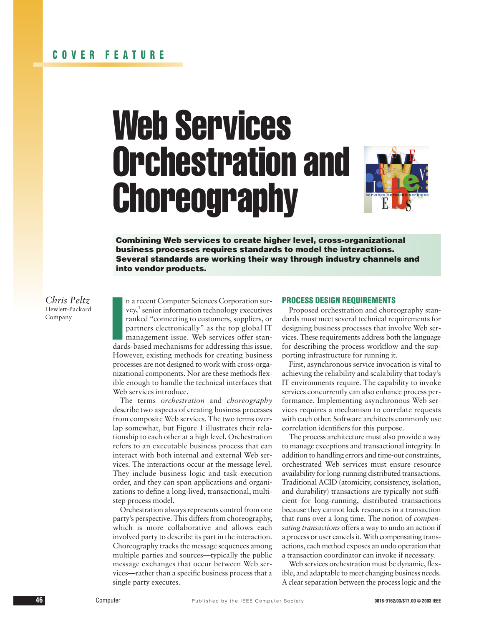# **COVER FEATURE**

# Web Services Orchestration and **Choreography**



**Combining Web services to create higher level, cross-organizational business processes requires standards to model the interactions. Several standards are working their way through industry channels and into vendor products.**

*Chris Peltz* Hewlett-Packard Company

n a recent Computer Sciences Corporation survey,<sup>1</sup> senior information technology executives ranked "connecting to customers, suppliers, or partners electronically" as the top global IT management issue. Web services offer n a recent Computer Sciences Corporation survey,<sup>1</sup> senior information technology executives ranked "connecting to customers, suppliers, or partners electronically" as the top global IT management issue. Web services offer stan-However, existing methods for creating business processes are not designed to work with cross-organizational components. Nor are these methods flexible enough to handle the technical interfaces that Web services introduce.

The terms *orchestration* and *choreography* describe two aspects of creating business processes from composite Web services. The two terms overlap somewhat, but Figure 1 illustrates their relationship to each other at a high level. Orchestration refers to an executable business process that can interact with both internal and external Web services. The interactions occur at the message level. They include business logic and task execution order, and they can span applications and organizations to define a long-lived, transactional, multistep process model.

Orchestration always represents control from one party's perspective. This differs from choreography, which is more collaborative and allows each involved party to describe its part in the interaction. Choreography tracks the message sequences among multiple parties and sources—typically the public message exchanges that occur between Web services—rather than a specific business process that a single party executes.

#### **PROCESS DESIGN REQUIREMENTS**

Proposed orchestration and choreography standards must meet several technical requirements for designing business processes that involve Web services. These requirements address both the language for describing the process workflow and the supporting infrastructure for running it.

First, asynchronous service invocation is vital to achieving the reliability and scalability that today's IT environments require. The capability to invoke services concurrently can also enhance process performance. Implementing asynchronous Web services requires a mechanism to correlate requests with each other. Software architects commonly use correlation identifiers for this purpose.

The process architecture must also provide a way to manage exceptions and transactional integrity. In addition to handling errors and time-out constraints, orchestrated Web services must ensure resource availability for long-running distributed transactions. Traditional ACID (atomicity, consistency, isolation, and durability) transactions are typically not sufficient for long-running, distributed transactions because they cannot lock resources in a transaction that runs over a long time. The notion of *compensating transactions* offers a way to undo an action if a process or user cancels it. With compensating transactions, each method exposes an undo operation that a transaction coordinator can invoke if necessary.

Web services orchestration must be dynamic, flexible, and adaptable to meet changing business needs. A clear separation between the process logic and the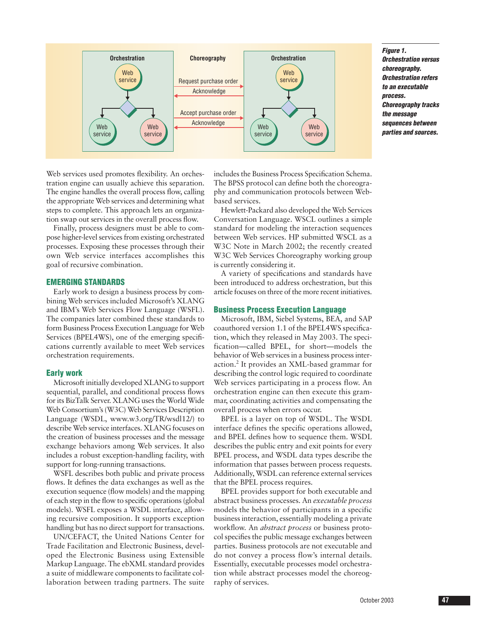

*Figure 1. Orchestration versus choreography. Orchestration refers to an executable process. Choreography tracks the message sequences between parties and sources.*

Web services used promotes flexibility. An orchestration engine can usually achieve this separation. The engine handles the overall process flow, calling the appropriate Web services and determining what steps to complete. This approach lets an organization swap out services in the overall process flow.

Finally, process designers must be able to compose higher-level services from existing orchestrated processes. Exposing these processes through their own Web service interfaces accomplishes this goal of recursive combination.

# **EMERGING STANDARDS**

Early work to design a business process by combining Web services included Microsoft's XLANG and IBM's Web Services Flow Language (WSFL). The companies later combined these standards to form Business Process Execution Language for Web Services (BPEL4WS), one of the emerging specifications currently available to meet Web services orchestration requirements.

# **Early work**

Microsoft initially developed XLANG to support sequential, parallel, and conditional process flows for its BizTalk Server. XLANG uses the World Wide Web Consortium's (W3C) Web Services Description Language (WSDL, www.w3.org/TR/wsdl12/) to describe Web service interfaces. XLANG focuses on the creation of business processes and the message exchange behaviors among Web services. It also includes a robust exception-handling facility, with support for long-running transactions.

WSFL describes both public and private process flows. It defines the data exchanges as well as the execution sequence (flow models) and the mapping of each step in the flow to specific operations (global models). WSFL exposes a WSDL interface, allowing recursive composition. It supports exception handling but has no direct support for transactions.

UN/CEFACT, the United Nations Center for Trade Facilitation and Electronic Business, developed the Electronic Business using Extensible Markup Language. The ebXML standard provides a suite of middleware components to facilitate collaboration between trading partners. The suite includes the Business Process Specification Schema. The BPSS protocol can define both the choreography and communication protocols between Webbased services.

Hewlett-Packard also developed the Web Services Conversation Language. WSCL outlines a simple standard for modeling the interaction sequences between Web services. HP submitted WSCL as a W3C Note in March 2002; the recently created W3C Web Services Choreography working group is currently considering it.

A variety of specifications and standards have been introduced to address orchestration, but this article focuses on three of the more recent initiatives.

#### **Business Process Execution Language**

Microsoft, IBM, Siebel Systems, BEA, and SAP coauthored version 1.1 of the BPEL4WS specification, which they released in May 2003. The specification—called BPEL, for short—models the behavior of Web services in a business process interaction.<sup>2</sup> It provides an XML-based grammar for describing the control logic required to coordinate Web services participating in a process flow. An orchestration engine can then execute this grammar, coordinating activities and compensating the overall process when errors occur.

BPEL is a layer on top of WSDL. The WSDL interface defines the specific operations allowed, and BPEL defines how to sequence them. WSDL describes the public entry and exit points for every BPEL process, and WSDL data types describe the information that passes between process requests. Additionally, WSDL can reference external services that the BPEL process requires.

BPEL provides support for both executable and abstract business processes. An *executable process* models the behavior of participants in a specific business interaction, essentially modeling a private workflow. An *abstract process* or business protocol specifies the public message exchanges between parties. Business protocols are not executable and do not convey a process flow's internal details. Essentially, executable processes model orchestration while abstract processes model the choreography of services.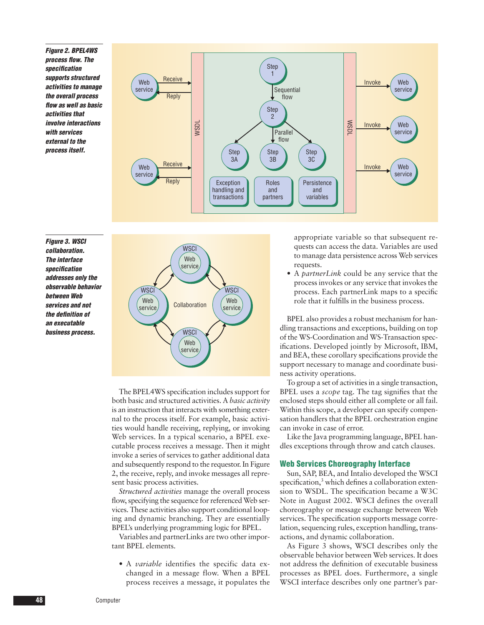*Figure 2. BPEL4WS process flow. The specification supports structured activities to manage the overall process flow as well as basic activities that involve interactions with services external to the process itself.*



*Figure 3. WSCI collaboration. The interface specification addresses only the observable behavior between Web services and not the definition of an executable business process.*



The BPEL4WS specification includes support for both basic and structured activities. A *basic activity* is an instruction that interacts with something external to the process itself. For example, basic activities would handle receiving, replying, or invoking Web services. In a typical scenario, a BPEL executable process receives a message. Then it might invoke a series of services to gather additional data and subsequently respond to the requestor. In Figure 2, the receive, reply, and invoke messages all represent basic process activities.

*Structured activities* manage the overall process flow, specifying the sequence for referenced Web services. These activities also support conditional looping and dynamic branching. They are essentially BPEL's underlying programming logic for BPEL.

Variables and partnerLinks are two other important BPEL elements.

• A *variable* identifies the specific data exchanged in a message flow. When a BPEL process receives a message, it populates the appropriate variable so that subsequent requests can access the data. Variables are used to manage data persistence across Web services requests.

• A *partnerLink* could be any service that the process invokes or any service that invokes the process. Each partnerLink maps to a specific role that it fulfills in the business process.

BPEL also provides a robust mechanism for handling transactions and exceptions, building on top of the WS-Coordination and WS-Transaction specifications. Developed jointly by Microsoft, IBM, and BEA, these corollary specifications provide the support necessary to manage and coordinate business activity operations.

To group a set of activities in a single transaction, BPEL uses a *scope* tag. The tag signifies that the enclosed steps should either all complete or all fail. Within this scope, a developer can specify compensation handlers that the BPEL orchestration engine can invoke in case of error.

Like the Java programming language, BPEL handles exceptions through throw and catch clauses.

# **Web Services Choreography Interface**

Sun, SAP, BEA, and Intalio developed the WSCI specification,<sup>3</sup> which defines a collaboration extension to WSDL. The specification became a W3C Note in August 2002. WSCI defines the overall choreography or message exchange between Web services. The specification supports message correlation, sequencing rules, exception handling, transactions, and dynamic collaboration.

As Figure 3 shows, WSCI describes only the observable behavior between Web services. It does not address the definition of executable business processes as BPEL does. Furthermore, a single WSCI interface describes only one partner's par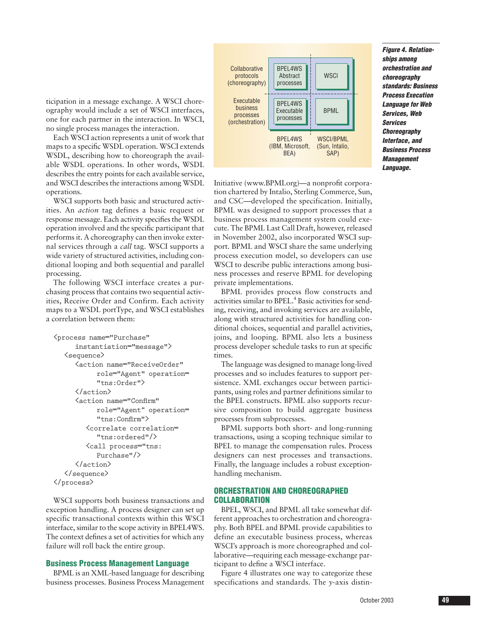ticipation in a message exchange. A WSCI choreography would include a set of WSCI interfaces, one for each partner in the interaction. In WSCI, no single process manages the interaction.

Each WSCI action represents a unit of work that maps to a specific WSDL operation. WSCI extends WSDL, describing how to choreograph the available WSDL operations. In other words, WSDL describes the entry points for each available service, and WSCI describes the interactions among WSDL operations.

WSCI supports both basic and structured activities. An *action* tag defines a basic request or response message. Each activity specifies the WSDL operation involved and the specific participant that performs it. A choreography can then invoke external services through a *call* tag. WSCI supports a wide variety of structured activities, including conditional looping and both sequential and parallel processing.

The following WSCI interface creates a purchasing process that contains two sequential activities, Receive Order and Confirm. Each activity maps to a WSDL portType, and WSCI establishes a correlation between them:

```
<process name="Purchase" 
     instantiation="message">
  <sequence>
     <action name="ReceiveOrder"
           role="Agent" operation=
           "tns:Order">
     </action>
     <action name="Confirm"
           role="Agent" operation=
           "tns:Confirm">
        <correlate correlation=
           "tns:ordered"/>
        <call process="tns:
           Purchase"/>
     </action>
  </sequence>
</process>
```
WSCI supports both business transactions and exception handling. A process designer can set up specific transactional contexts within this WSCI interface, similar to the scope activity in BPEL4WS. The context defines a set of activities for which any failure will roll back the entire group.

#### **Business Process Management Language**

BPML is an XML-based language for describing business processes. Business Process Management



*Figure 4. Relationships among orchestration and choreography standards: Business Process Execution Language for Web Services, Web Services Choreography Interface, and Business Process Management Language.*

Initiative (www.BPMI.org)—a nonprofit corporation chartered by Intalio, Sterling Commerce, Sun, and CSC—developed the specification. Initially, BPML was designed to support processes that a business process management system could execute. The BPML Last Call Draft, however, released in November 2002, also incorporated WSCI support. BPML and WSCI share the same underlying process execution model, so developers can use WSCI to describe public interactions among business processes and reserve BPML for developing private implementations.

BPML provides process flow constructs and activities similar to BPEL.<sup>4</sup> Basic activities for sending, receiving, and invoking services are available, along with structured activities for handling conditional choices, sequential and parallel activities, joins, and looping. BPML also lets a business process developer schedule tasks to run at specific times.

The language was designed to manage long-lived processes and so includes features to support persistence. XML exchanges occur between participants, using roles and partner definitions similar to the BPEL constructs. BPML also supports recursive composition to build aggregate business processes from subprocesses.

BPML supports both short- and long-running transactions, using a scoping technique similar to BPEL to manage the compensation rules. Process designers can nest processes and transactions. Finally, the language includes a robust exceptionhandling mechanism.

# **ORCHESTRATION AND CHOREOGRAPHED COLLABORATION**

BPEL, WSCI, and BPML all take somewhat different approaches to orchestration and choreography. Both BPEL and BPML provide capabilities to define an executable business process, whereas WSCI's approach is more choreographed and collaborative—requiring each message-exchange participant to define a WSCI interface.

Figure 4 illustrates one way to categorize these specifications and standards. The *y*-axis distin-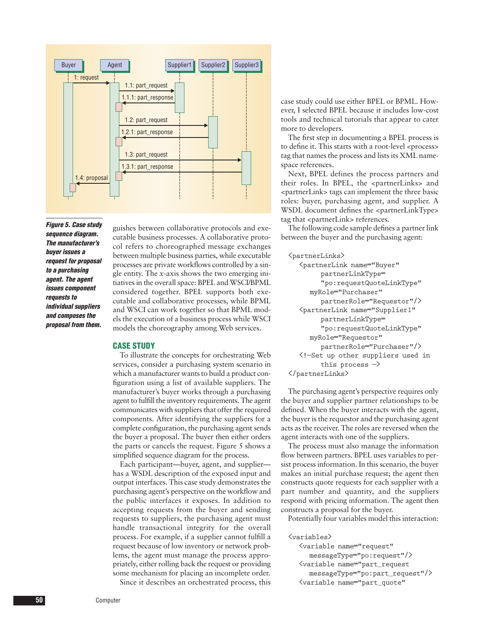

*Figure 5. Case study sequence diagram. The manufacturer's buyer issues a request for proposal to a purchasing agent. The agent issues component requests to individual suppliers and composes the proposal from them.* 

guishes between collaborative protocols and executable business processes. A collaborative protocol refers to choreographed message exchanges between multiple business parties, while executable processes are private workflows controlled by a single entity. The *x*-axis shows the two emerging initiatives in the overall space: BPEL and WSCI/BPML considered together. BPEL supports both executable and collaborative processes, while BPML and WSCI can work together so that BPML models the execution of a business process while WSCI models the choreography among Web services.

### **CASE STUDY**

To illustrate the concepts for orchestrating Web services, consider a purchasing system scenario in which a manufacturer wants to build a product configuration using a list of available suppliers. The manufacturer's buyer works through a purchasing agent to fulfill the inventory requirements. The agent communicates with suppliers that offer the required components. After identifying the suppliers for a complete configuration, the purchasing agent sends the buyer a proposal. The buyer then either orders the parts or cancels the request. Figure 5 shows a simplified sequence diagram for the process.

Each participant—buyer, agent, and supplier has a WSDL description of the exposed input and output interfaces. This case study demonstrates the purchasing agent's perspective on the workflow and the public interfaces it exposes. In addition to accepting requests from the buyer and sending requests to suppliers, the purchasing agent must handle transactional integrity for the overall process. For example, if a supplier cannot fulfill a request because of low inventory or network problems, the agent must manage the process appropriately, either rolling back the request or providing some mechanism for placing an incomplete order.

Since it describes an orchestrated process, this

case study could use either BPEL or BPML. However, I selected BPEL because it includes low-cost tools and technical tutorials that appear to cater more to developers.

The first step in documenting a BPEL process is to define it. This starts with a root-level <process> tag that names the process and lists its XML namespace references.

Next, BPEL defines the process partners and their roles. In BPEL, the <partnerLinks> and <partnerLink> tags can implement the three basic roles: buyer, purchasing agent, and supplier. A WSDL document defines the <partnerLinkType> tag that <partnerLink> references.

The following code sample defines a partner link between the buyer and the purchasing agent:

**<partnerLinks>**

```
<partnerLink name="Buyer"
        partnerLinkType=
        "po:requestQuoteLinkType"
     myRole="Purchaser"
        partnerRole="Requestor"/>
  <partnerLink name="Supplier1"
        partnerLinkType=
        "po:requestQuoteLinkType" 
     myRole="Requestor"
        partnerRole="Purchaser"/>
  <!—Set up other suppliers used in
        this process —> 
</partnerLinks>
```
The purchasing agent's perspective requires only the buyer and supplier partner relationships to be defined. When the buyer interacts with the agent, the buyer is the requestor and the purchasing agent acts as the receiver. The roles are reversed when the agent interacts with one of the suppliers.

The process must also manage the information flow between partners. BPEL uses variables to persist process information. In this scenario, the buyer makes an initial purchase request; the agent then constructs quote requests for each supplier with a part number and quantity, and the suppliers respond with pricing information. The agent then constructs a proposal for the buyer.

Potentially four variables model this interaction:

**<variables>**

```
<variable name="request"
  messageType="po:request"/>
<variable name="part_request
  messageType="po:part_request"/>
<variable name="part_quote"
```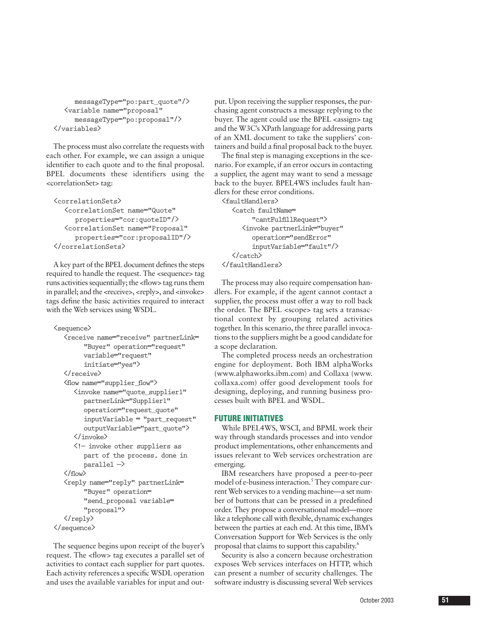```
messageType="po:part_quote"/>
  <variable name="proposal"
     messageType="po:proposal"/>
</variables>
```
The process must also correlate the requests with each other. For example, we can assign a unique identifier to each quote and to the final proposal. BPEL documents these identifiers using the <correlationSet> tag:

```
<correlationSets>
  <correlationSet name="Quote" 
     properties="cor:quoteID"/>
  <correlationSet name="Proposal"
     properties="cor:proposalID"/>
</correlationSets>
```
A key part of the BPEL document defines the steps required to handle the request. The <sequence> tag runs activities sequentially; the <flow> tag runs them in parallel; and the <receive>, <reply>, and <invoke> tags define the basic activities required to interact with the Web services using WSDL.

```
<sequence>
  <receive name="receive" partnerLink=
        "Buyer" operation="request"
        variable="request"
        initiate="yes">
  </receive>
  <flow name="supplier_flow">
     <invoke name="quote_supplier1"
        partnerLink="Supplier1"
        operation="request_quote"
        inputVariable = "part_request"
        outputVariable="part_quote">
     </invoke>
     <!— invoke other suppliers as
        part of the process, done in
        parallel —>
  </flow>
  <reply name="reply" partnerLink=
        "Buyer" operation=
        "send_proposal variable=
        "proposal">
  </reply>
</sequence>
```
The sequence begins upon receipt of the buyer's request. The <flow> tag executes a parallel set of activities to contact each supplier for part quotes. Each activity references a specific WSDL operation and uses the available variables for input and output. Upon receiving the supplier responses, the purchasing agent constructs a message replying to the buyer. The agent could use the BPEL <assign> tag and the W3C's XPath language for addressing parts of an XML document to take the suppliers' containers and build a final proposal back to the buyer.

The final step is managing exceptions in the scenario. For example, if an error occurs in contacting a supplier, the agent may want to send a message back to the buyer. BPEL4WS includes fault handlers for these error conditions.

**<faultHandlers>**

```
<catch faultName=
        "cantFulfillRequest">
     <invoke partnerLink="buyer" 
        operation="sendError"
        inputVariable="fault"/>
   </catch>
</faultHandlers>
```
The process may also require compensation handlers. For example, if the agent cannot contact a supplier, the process must offer a way to roll back the order. The BPEL <scope> tag sets a transactional context by grouping related activities together. In this scenario, the three parallel invocations to the suppliers might be a good candidate for a scope declaration.

The completed process needs an orchestration engine for deployment. Both IBM alphaWorks (www.alphaworks.ibm.com) and Collaxa (www. collaxa.com) offer good development tools for designing, deploying, and running business processes built with BPEL and WSDL.

# **FUTURE INITIATIVES**

While BPEL4WS, WSCI, and BPML work their way through standards processes and into vendor product implementations, other enhancements and issues relevant to Web services orchestration are emerging.

IBM researchers have proposed a peer-to-peer model of e-business interaction.<sup>5</sup> They compare current Web services to a vending machine—a set number of buttons that can be pressed in a predefined order. They propose a conversational model—more like a telephone call with flexible, dynamic exchanges between the parties at each end. At this time, IBM's Conversation Support for Web Services is the only proposal that claims to support this capability.6

Security is also a concern because orchestration exposes Web services interfaces on HTTP, which can present a number of security challenges. The software industry is discussing several Web services